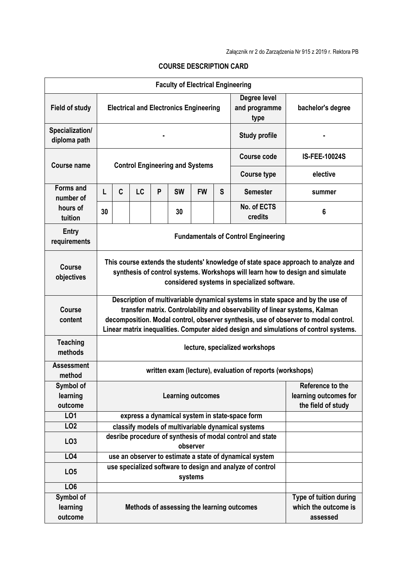| <b>Faculty of Electrical Engineering</b> |                                                                                                                                                                                                                                                                                                                                                |                                                                       |    |   |           |           |   |                                                         |                       |
|------------------------------------------|------------------------------------------------------------------------------------------------------------------------------------------------------------------------------------------------------------------------------------------------------------------------------------------------------------------------------------------------|-----------------------------------------------------------------------|----|---|-----------|-----------|---|---------------------------------------------------------|-----------------------|
| <b>Field of study</b>                    | <b>Electrical and Electronics Engineering</b>                                                                                                                                                                                                                                                                                                  |                                                                       |    |   |           |           |   | Degree level<br>and programme<br>type                   | bachelor's degree     |
| Specialization/<br>diploma path          | <b>Study profile</b>                                                                                                                                                                                                                                                                                                                           |                                                                       |    |   |           |           |   |                                                         |                       |
| Course name                              | <b>Control Engineering and Systems</b>                                                                                                                                                                                                                                                                                                         |                                                                       |    |   |           |           |   | Course code                                             | <b>IS-FEE-10024S</b>  |
|                                          |                                                                                                                                                                                                                                                                                                                                                |                                                                       |    |   |           |           |   | <b>Course type</b>                                      | elective              |
| <b>Forms and</b><br>number of            | L                                                                                                                                                                                                                                                                                                                                              | C                                                                     | LC | P | <b>SW</b> | <b>FW</b> | S | <b>Semester</b>                                         | summer                |
| hours of<br>tuition                      | 30                                                                                                                                                                                                                                                                                                                                             |                                                                       |    |   | 30        |           |   | No. of ECTS<br>credits                                  | 6                     |
| <b>Entry</b><br>requirements             | <b>Fundamentals of Control Engineering</b>                                                                                                                                                                                                                                                                                                     |                                                                       |    |   |           |           |   |                                                         |                       |
| <b>Course</b><br>objectives              | This course extends the students' knowledge of state space approach to analyze and<br>synthesis of control systems. Workshops will learn how to design and simulate<br>considered systems in specialized software.                                                                                                                             |                                                                       |    |   |           |           |   |                                                         |                       |
| Course<br>content                        | Description of multivariable dynamical systems in state space and by the use of<br>transfer matrix. Controlability and observability of linear systems, Kalman<br>decomposition. Modal control, observer synthesis, use of observer to modal control.<br>Linear matrix inequalities. Computer aided design and simulations of control systems. |                                                                       |    |   |           |           |   |                                                         |                       |
| <b>Teaching</b><br>methods               | lecture, specialized workshops                                                                                                                                                                                                                                                                                                                 |                                                                       |    |   |           |           |   |                                                         |                       |
| <b>Assessment</b><br>method              | written exam (lecture), evaluation of reports (workshops)                                                                                                                                                                                                                                                                                      |                                                                       |    |   |           |           |   |                                                         |                       |
| Symbol of<br>learning<br>outcome         | Reference to the<br><b>Learning outcomes</b><br>the field of study                                                                                                                                                                                                                                                                             |                                                                       |    |   |           |           |   |                                                         | learning outcomes for |
| LO1                                      |                                                                                                                                                                                                                                                                                                                                                |                                                                       |    |   |           |           |   | express a dynamical system in state-space form          |                       |
| LO <sub>2</sub>                          |                                                                                                                                                                                                                                                                                                                                                |                                                                       |    |   |           |           |   | classify models of multivariable dynamical systems      |                       |
| LO <sub>3</sub>                          |                                                                                                                                                                                                                                                                                                                                                | desribe procedure of synthesis of modal control and state<br>observer |    |   |           |           |   |                                                         |                       |
| LO4                                      |                                                                                                                                                                                                                                                                                                                                                |                                                                       |    |   |           |           |   | use an observer to estimate a state of dynamical system |                       |
| LO <sub>5</sub>                          |                                                                                                                                                                                                                                                                                                                                                | use specialized software to design and analyze of control<br>systems  |    |   |           |           |   |                                                         |                       |
| LO <sub>6</sub>                          |                                                                                                                                                                                                                                                                                                                                                |                                                                       |    |   |           |           |   |                                                         |                       |
| Symbol of<br>learning<br>outcome         | Type of tuition during<br>which the outcome is<br>Methods of assessing the learning outcomes<br>assessed                                                                                                                                                                                                                                       |                                                                       |    |   |           |           |   |                                                         |                       |

## **COURSE DESCRIPTION CARD**